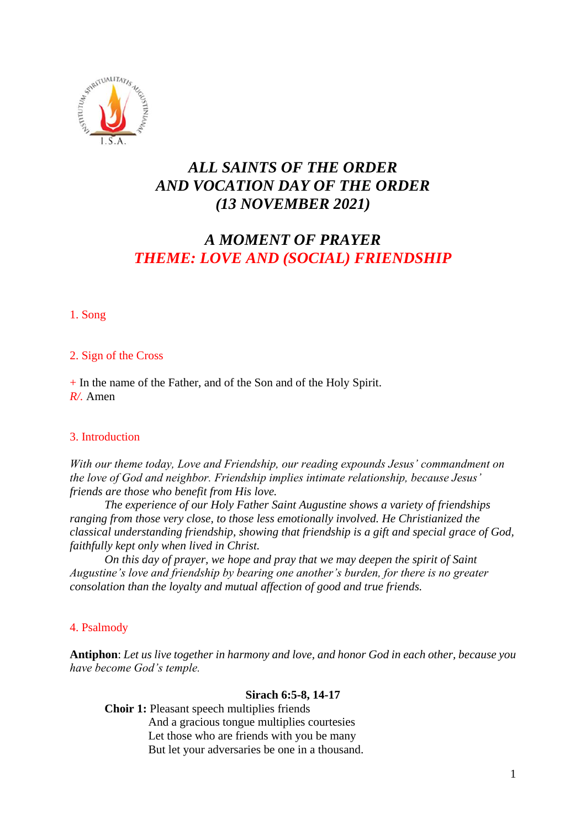

## *ALL SAINTS OF THE ORDER AND VOCATION DAY OF THE ORDER (13 NOVEMBER 2021)*

# *A MOMENT OF PRAYER THEME: LOVE AND (SOCIAL) FRIENDSHIP*

1. Song

## 2. Sign of the Cross

+ In the name of the Father, and of the Son and of the Holy Spirit. *R/.* Amen

## 3. Introduction

*With our theme today, Love and Friendship, our reading expounds Jesus' commandment on the love of God and neighbor. Friendship implies intimate relationship, because Jesus' friends are those who benefit from His love.*

*The experience of our Holy Father Saint Augustine shows a variety of friendships ranging from those very close, to those less emotionally involved. He Christianized the classical understanding friendship, showing that friendship is a gift and special grace of God, faithfully kept only when lived in Christ.*

*On this day of prayer, we hope and pray that we may deepen the spirit of Saint Augustine's love and friendship by bearing one another's burden, for there is no greater consolation than the loyalty and mutual affection of good and true friends.*

## 4. Psalmody

**Antiphon**: *Let us live together in harmony and love, and honor God in each other, because you have become God's temple.* 

### **Sirach 6:5-8, 14-17**

**Choir 1:** Pleasant speech multiplies friends And a gracious tongue multiplies courtesies Let those who are friends with you be many But let your adversaries be one in a thousand.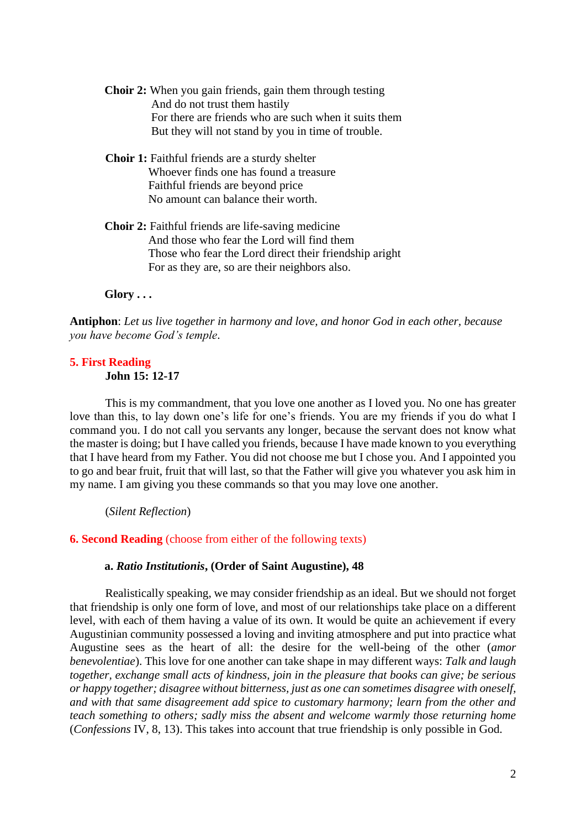- **Choir 2:** When you gain friends, gain them through testing And do not trust them hastily For there are friends who are such when it suits them But they will not stand by you in time of trouble.
- **Choir 1:** Faithful friends are a sturdy shelter Whoever finds one has found a treasure Faithful friends are beyond price No amount can balance their worth.
- **Choir 2:** Faithful friends are life-saving medicine And those who fear the Lord will find them Those who fear the Lord direct their friendship aright For as they are, so are their neighbors also.

#### **Glory . . .**

**Antiphon**: *Let us live together in harmony and love, and honor God in each other, because you have become God's temple*.

# **5. First Reading**

**John 15: 12-17**

This is my commandment, that you love one another as I loved you. No one has greater love than this, to lay down one's life for one's friends. You are my friends if you do what I command you. I do not call you servants any longer, because the servant does not know what the master is doing; but I have called you friends, because I have made known to you everything that I have heard from my Father. You did not choose me but I chose you. And I appointed you to go and bear fruit, fruit that will last, so that the Father will give you whatever you ask him in my name. I am giving you these commands so that you may love one another.

(*Silent Reflection*)

#### **6. Second Reading** (choose from either of the following texts)

#### **a.** *Ratio Institutionis***, (Order of Saint Augustine), 48**

Realistically speaking, we may consider friendship as an ideal. But we should not forget that friendship is only one form of love, and most of our relationships take place on a different level, with each of them having a value of its own. It would be quite an achievement if every Augustinian community possessed a loving and inviting atmosphere and put into practice what Augustine sees as the heart of all: the desire for the well-being of the other (*amor benevolentiae*). This love for one another can take shape in may different ways: *Talk and laugh together, exchange small acts of kindness, join in the pleasure that books can give; be serious or happy together; disagree without bitterness, just as one can sometimes disagree with oneself, and with that same disagreement add spice to customary harmony; learn from the other and teach something to others; sadly miss the absent and welcome warmly those returning home* (*Confessions* IV, 8, 13). This takes into account that true friendship is only possible in God.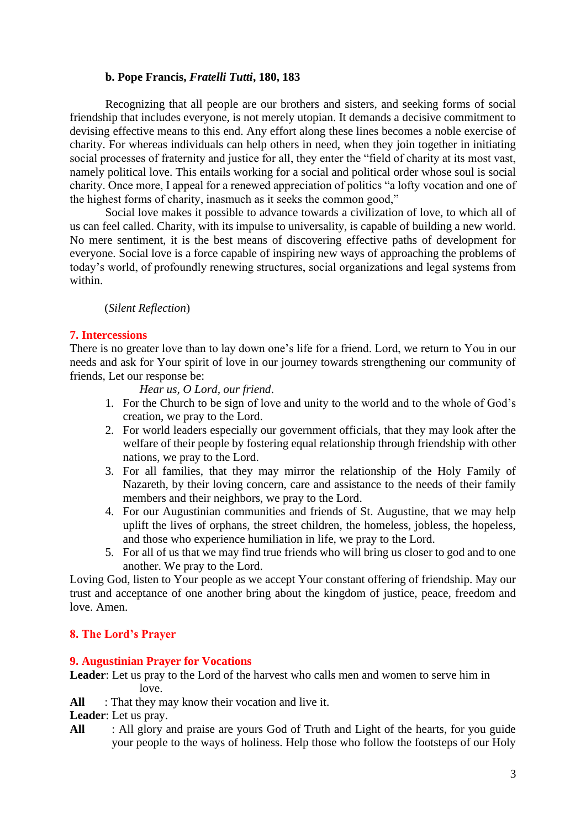#### **b. Pope Francis,** *Fratelli Tutti***, 180, 183**

Recognizing that all people are our brothers and sisters, and seeking forms of social friendship that includes everyone, is not merely utopian. It demands a decisive commitment to devising effective means to this end. Any effort along these lines becomes a noble exercise of charity. For whereas individuals can help others in need, when they join together in initiating social processes of fraternity and justice for all, they enter the "field of charity at its most vast, namely political love. This entails working for a social and political order whose soul is social charity. Once more, I appeal for a renewed appreciation of politics "a lofty vocation and one of the highest forms of charity, inasmuch as it seeks the common good,"

Social love makes it possible to advance towards a civilization of love, to which all of us can feel called. Charity, with its impulse to universality, is capable of building a new world. No mere sentiment, it is the best means of discovering effective paths of development for everyone. Social love is a force capable of inspiring new ways of approaching the problems of today's world, of profoundly renewing structures, social organizations and legal systems from within.

#### (*Silent Reflection*)

#### **7. Intercessions**

There is no greater love than to lay down one's life for a friend. Lord, we return to You in our needs and ask for Your spirit of love in our journey towards strengthening our community of friends, Let our response be:

*Hear us, O Lord, our friend*.

- 1. For the Church to be sign of love and unity to the world and to the whole of God's creation, we pray to the Lord.
- 2. For world leaders especially our government officials, that they may look after the welfare of their people by fostering equal relationship through friendship with other nations, we pray to the Lord.
- 3. For all families, that they may mirror the relationship of the Holy Family of Nazareth, by their loving concern, care and assistance to the needs of their family members and their neighbors, we pray to the Lord.
- 4. For our Augustinian communities and friends of St. Augustine, that we may help uplift the lives of orphans, the street children, the homeless, jobless, the hopeless, and those who experience humiliation in life, we pray to the Lord.
- 5. For all of us that we may find true friends who will bring us closer to god and to one another. We pray to the Lord.

Loving God, listen to Your people as we accept Your constant offering of friendship. May our trust and acceptance of one another bring about the kingdom of justice, peace, freedom and love. Amen.

#### **8. The Lord's Prayer**

#### **9. Augustinian Prayer for Vocations**

**Leader**: Let us pray to the Lord of the harvest who calls men and women to serve him in love.

All : That they may know their vocation and live it.

**Leader**: Let us pray.

**All** : All glory and praise are yours God of Truth and Light of the hearts, for you guide your people to the ways of holiness. Help those who follow the footsteps of our Holy